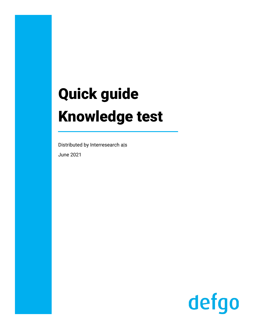# Quick guide **Knowledge test**

Distributed by Interresearch a|s **June 2021** 

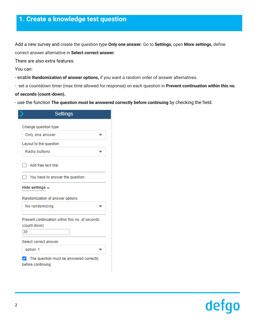## **1. Create a knowledge test question**

Add a new survey and create the question type **Only one answer.** Go to **Settings,** open **More settings,** define correct answer alternative in **Select correct answer**.

There are also extra features.

You can:

- enable **Randomization of answer options,** if you want a random order of answer alternatives.

- set a countdown timer (max time allowed for response) on each question in **Prevent continuation within this no.** 

**of seconds (count-down).** 

- use the function **The question must be answered correctly before continuing** by checking the field.

|                       | <b>Settings</b>                                 |  |
|-----------------------|-------------------------------------------------|--|
| Change question type  |                                                 |  |
| Only one answer       |                                                 |  |
|                       | Layout to the question                          |  |
| <b>Radio buttons</b>  |                                                 |  |
|                       | Add free text line                              |  |
|                       | You have to answer the question                 |  |
|                       |                                                 |  |
| Hide settings $\sim$  |                                                 |  |
|                       | Randomization of answer options                 |  |
| No randomizing        |                                                 |  |
| (count-down)<br>30    | Prevent continuation within this no. of seconds |  |
| Select correct answer |                                                 |  |

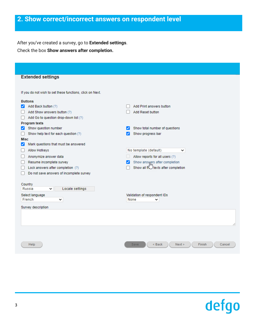#### **2. Show correct/incorrect answers on respondent level**

After you've created a survey, go to **Extended settings**. Check the box **Show answers after completion.**

| <b>Extended settings</b>                                  |                                                     |
|-----------------------------------------------------------|-----------------------------------------------------|
|                                                           |                                                     |
| If you do not wish to set these functions, click on Next. |                                                     |
| <b>Buttons</b>                                            |                                                     |
| Add Back button (?)<br>◡                                  | Add Print answers button                            |
| Add Show answers button (?)                               | Add Reset button                                    |
| Add Go to question drop-down list (?)                     |                                                     |
| <b>Program texts</b>                                      |                                                     |
| Show question number<br>◡                                 | Show total number of questions                      |
| Show help text for each question (?)<br>$\mathbf{I}$      | Show progress bar                                   |
| <b>Misc</b>                                               |                                                     |
| Mark questions that must be answered<br>է                 |                                                     |
| Allow Hotkeys                                             | No template (default)<br>◡                          |
| Anonymize answer data                                     | Allow reports for all users (?)                     |
| Resume incomplete survey                                  | Show answers after completion                       |
| Lock answers after completion (?)                         | Show all fightexts after completion                 |
| Do not save answers of incomplete survey                  |                                                     |
|                                                           |                                                     |
| Country<br>Locale settings<br>Russia<br>╰                 |                                                     |
|                                                           |                                                     |
| Select language<br>French<br>v                            | Validation of respondent IDs<br>None<br>v           |
|                                                           |                                                     |
| Survey description                                        |                                                     |
|                                                           |                                                     |
|                                                           |                                                     |
|                                                           |                                                     |
|                                                           |                                                     |
|                                                           |                                                     |
| Help                                                      | <b>Save</b><br>< Back<br>Next ><br>Finish<br>Cancel |
|                                                           |                                                     |
|                                                           |                                                     |

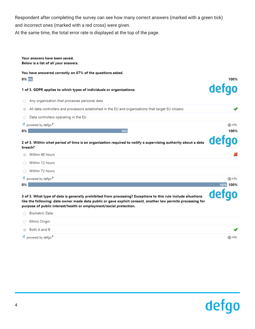Respondent after completing the survey can see how many correct answers (marked with a green tick) and incorrect ones (marked with a red cross) were given.

At the same time, the total error rate is displayed at the top of the page.

| Your answers have been saved.<br>Below is a list of all your answers.                                                                                                                                                                                                                               |           |
|-----------------------------------------------------------------------------------------------------------------------------------------------------------------------------------------------------------------------------------------------------------------------------------------------------|-----------|
| You have answered correctly on 67% of the questions asked.<br>0% 0%                                                                                                                                                                                                                                 | 100%      |
| 1 of 3. GDPR applies to which types of individuals or organizations:                                                                                                                                                                                                                                | defo      |
| Any organization that processes personal data                                                                                                                                                                                                                                                       |           |
| All data controllers and processors established in the EU and organizations that target EU citizens<br>$\circ$                                                                                                                                                                                      |           |
| Data controllers operating in the EU                                                                                                                                                                                                                                                                |           |
| powered by defgo <sup>®</sup><br>d                                                                                                                                                                                                                                                                  | (i) info  |
| 0%<br>50%                                                                                                                                                                                                                                                                                           | 100%      |
| 2 of 3. Within what period of time is an organization required to notify a supervising authority about a data<br>breach?                                                                                                                                                                            | det       |
| Within 48 hours                                                                                                                                                                                                                                                                                     |           |
| Within 12 hours                                                                                                                                                                                                                                                                                     |           |
| Within 72 hours                                                                                                                                                                                                                                                                                     |           |
|                                                                                                                                                                                                                                                                                                     |           |
| powered by defgo <sup>®</sup><br>d                                                                                                                                                                                                                                                                  | (i) info  |
| 0%                                                                                                                                                                                                                                                                                                  | 100% 100% |
| 3 of 3. What type of data is generally prohibited from processing? Exceptions to this rule include situations<br>like the following: data owner made data public or gave explicit consent, another law permits processing for<br>purpose of public interest/health or employment/social protection. | defao     |
| Biometric Data                                                                                                                                                                                                                                                                                      |           |
| Ethnic Origin                                                                                                                                                                                                                                                                                       |           |

d powered by defgo<sup>®</sup>



 $\odot$  info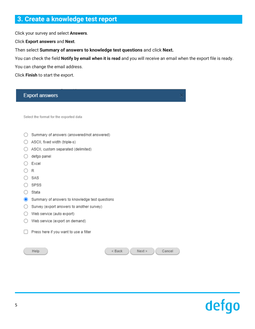#### **3. Create a knowledge test report**

Click your survey and select **Answers**.

Click **Export answers** and **Next**.

Then select **Summary of answers to knowledge test questions** and click **Next.**

You can check the field **Notify by email when it is read** and you will receive an email when the export file is ready.

You can change the email address.

Click **Finish** to start the export.

### **Export answers** Select the format for the exported data ◯ Summary of answers (answered/not answered) ◯ ASCII, fixed width (triple-s) ◯ ASCII, custom separated (delimited)  $\bigcirc$  defgo panel  $\bigcirc$  Excel  $\bigcirc$  R  $\bigcirc$  SAS ○ SPSS  $\bigcirc$  Stata Summary of answers to knowledge test questions  $\bigcirc$  Survey (export answers to another survey)  $\bigcirc$  Web service (auto export)  $\bigcirc$  Web service (export on demand) Press here if you want to use a filter Help  $<$  Back  $Next$ Cancel